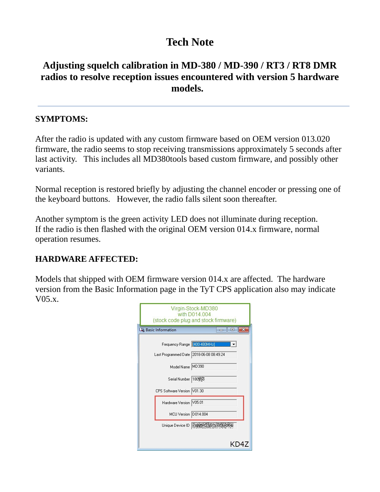# **Tech Note**

## **Adjusting squelch calibration in MD-380 / MD-390 / RT3 / RT8 DMR radios to resolve reception issues encountered with version 5 hardware models.**

#### **SYMPTOMS:**

After the radio is updated with any custom firmware based on OEM version 013.020 firmware, the radio seems to stop receiving transmissions approximately 5 seconds after last activity. This includes all MD380tools based custom firmware, and possibly other variants.

Normal reception is restored briefly by adjusting the channel encoder or pressing one of the keyboard buttons. However, the radio falls silent soon thereafter.

Another symptom is the green activity LED does not illuminate during reception. If the radio is then flashed with the original OEM version 014.x firmware, normal operation resumes.

## **HARDWARE AFFECTED:**

Models that shipped with OEM firmware version 014.x are affected. The hardware version from the Basic Information page in the TyT CPS application also may indicate V05.x.

| Line Basic Information                   | 叵 |
|------------------------------------------|---|
| Frequency Range [400-480MHz]             |   |
|                                          |   |
| Last Programmed Date 2018-06-08 08:49:24 |   |
| Model Name MD390                         |   |
| Serial Number 180 %                      |   |
| CPS Software Version  V01.30             |   |
|                                          |   |
| Hardware Version V05.01                  |   |
| MCU Version D014.004                     |   |
| Unique Device ID 系统系统                    |   |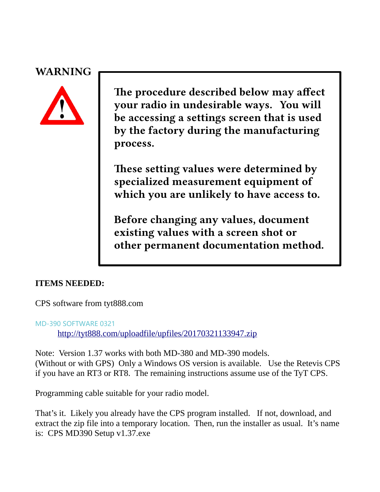## WARNING



The procedure described below may affect your radio in undesirable ways. You will be accessing a settings screen that is used by the factory during the manufacturing process.

These setting values were determined by specialized measurement equipment of which you are unlikely to have access to.

Before changing any values, document existing values with a screen shot or other permanent documentation method.

## **ITEMS NEEDED:**

CPS software from tyt888.com

#### [MD-390 SOFTWARE 0321](http://tyt888.com/uploadfile/upfiles/20170321133947.zip)

<http://tyt888.com/uploadfile/upfiles/20170321133947.zip>

Note: Version 1.37 works with both MD-380 and MD-390 models. (Without or with GPS) Only a Windows OS version is available. Use the Retevis CPS if you have an RT3 or RT8. The remaining instructions assume use of the TyT CPS.

Programming cable suitable for your radio model.

That's it. Likely you already have the CPS program installed. If not, download, and extract the zip file into a temporary location. Then, run the installer as usual. It's name is: CPS MD390 Setup v1.37.exe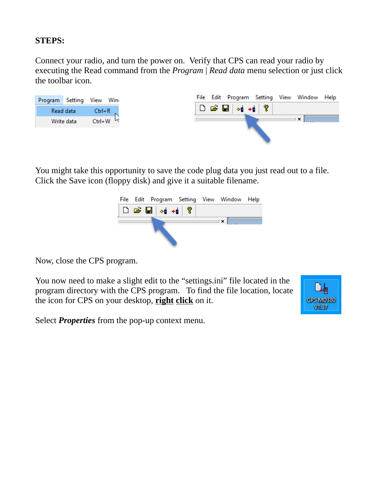### **STEPS:**

Connect your radio, and turn the power on. Verify that CPS can read your radio by executing the Read command from the *Program* | *Read data* menu selection or just click the toolbar icon.

You might take this opportunity to save the code plug data you just read out to a file. Click the Save icon (floppy disk) and give it a suitable filename.



Now, close the CPS program.

You now need to make a slight edit to the "settings.ini" file located in the program directory with the CPS program. To find the file location, locate the icon for CPS on your desktop, **right click** on it.



Select *Properties* from the pop-up context menu.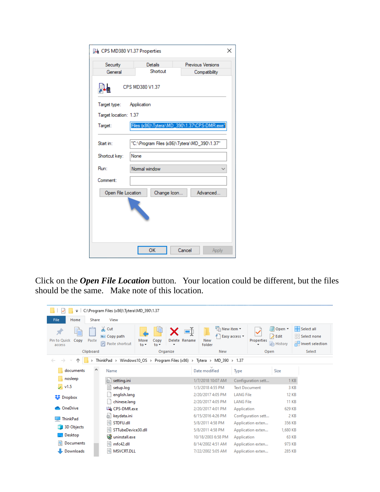| ■ CPS MD380 V1.37 Properties                             |               | ×                                           |  |  |  |  |  |  |  |
|----------------------------------------------------------|---------------|---------------------------------------------|--|--|--|--|--|--|--|
| Security                                                 | Details       | Previous Versions                           |  |  |  |  |  |  |  |
| General                                                  | Shortcut      | Compatibility                               |  |  |  |  |  |  |  |
| CPS MD380 V1.37<br>Target type:<br>Application           |               |                                             |  |  |  |  |  |  |  |
| Target location: 1.37                                    |               |                                             |  |  |  |  |  |  |  |
| Target:                                                  |               | Files (x86)\Tytera\MD_390\1.37\CPS-DMR.exe' |  |  |  |  |  |  |  |
| "C:\Program Files (x86)\Tytera\MD_390\1.37"<br>Start in: |               |                                             |  |  |  |  |  |  |  |
| None<br>Shortcut key:                                    |               |                                             |  |  |  |  |  |  |  |
| Run:                                                     | Normal window |                                             |  |  |  |  |  |  |  |
| Comment:                                                 |               |                                             |  |  |  |  |  |  |  |
| Open File Location                                       | Change Icon   | Advanced                                    |  |  |  |  |  |  |  |
|                                                          |               |                                             |  |  |  |  |  |  |  |
|                                                          | <b>OK</b>     | Cancel<br>Apply                             |  |  |  |  |  |  |  |

Click on the *Open File Location* button. Your location could be different, but the files should be the same. Make note of this location.

| C:\Program Files (x86)\Tytera\MD_390\1.37<br>$\overline{\phantom{a}}$  |           |                                                      |                                         |          |               |                                  |                  |                      |                                       |                                                             |
|------------------------------------------------------------------------|-----------|------------------------------------------------------|-----------------------------------------|----------|---------------|----------------------------------|------------------|----------------------|---------------------------------------|-------------------------------------------------------------|
| File<br>Home                                                           | Share     | View                                                 |                                         |          |               |                                  |                  |                      |                                       |                                                             |
| Pin to Ouick<br>Copy<br>access                                         | Paste     | $\frac{1}{20}$ Cut<br>W. Copy path<br>Paste shortcut | Move<br>Copy<br>$\frac{1}{2}$<br>$to -$ | ٠        | Delete Rename | New item -<br>打<br>New<br>folder | Easy access v    | Properties           | Open -<br>$\lambda$ Edit<br>A History | Select all<br>$\mathbb{H}$ Select none<br><b>Refinition</b> |
|                                                                        | Clipboard |                                                      |                                         | Organize |               | New                              |                  | Open                 |                                       | Select                                                      |
| ThinkPad > Windows10_OS > Program Files (x86) > Tytera > MD_390 > 1.37 |           |                                                      |                                         |          |               |                                  |                  |                      |                                       |                                                             |
| documents                                                              | ∧         | Name                                                 |                                         |          |               | Date modified                    | Type             |                      | <b>Size</b>                           |                                                             |
| nosleep                                                                |           | setting.ini<br>龅                                     |                                         |          |               | 1/7/2018 10:07 AM                |                  | Configuration sett   | $1$ KB                                |                                                             |
| $\sqrt{91.5}$                                                          |           | setup.log                                            |                                         |          |               | 1/3/2018 4:55 PM                 |                  | <b>Text Document</b> | 3 KB                                  |                                                             |
| Dropbox                                                                |           | english.lang                                         |                                         |          |               | 2/20/2017 4:05 PM                | <b>LANG File</b> |                      | <b>12 KB</b>                          |                                                             |
|                                                                        |           | chinese.lang                                         |                                         |          |               | 2/20/2017 4:05 PM                | <b>LANG File</b> |                      | <b>11 KB</b>                          |                                                             |
| OneDrive                                                               |           | LL CPS-DMR.exe                                       |                                         |          |               | 2/20/2017 4:01 PM                | Application      |                      | 629 KB                                |                                                             |
| <b>ThinkPad</b>                                                        |           | keydata.ini                                          |                                         |          |               | 6/15/2016 4:26 PM                |                  | Configuration sett   | 2 KB                                  |                                                             |
|                                                                        |           | STDFU.dll<br>⊛                                       |                                         |          |               | 5/8/2011 4:58 PM                 |                  | Application exten    | 356 KB                                |                                                             |
| <b>3D Objects</b>                                                      |           | STTubeDevice30.dll                                   |                                         |          |               | 5/8/2011 4:58 PM                 |                  | Application exten    | 1,680 KB                              |                                                             |
| Desktop                                                                |           | <b>We</b> uninstall.exe                              |                                         |          |               | 10/18/2003 6:58 PM               | Application      |                      | <b>63 KB</b>                          |                                                             |
| 葟<br>Documents                                                         |           | $mfc42$ .dll                                         |                                         |          |               | 8/14/2002 4:51 AM                |                  | Application exten    | 973 KB                                |                                                             |
| Downloads                                                              |           | <b>MSVCRT.DLL</b>                                    |                                         |          |               | 7/22/2002 5:05 AM                |                  | Application exten    | 285 KB                                |                                                             |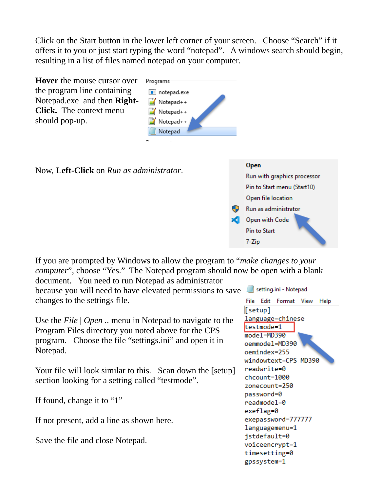Click on the Start button in the lower left corner of your screen. Choose "Search" if it offers it to you or just start typing the word "notepad". A windows search should begin, resulting in a list of files named notepad on your computer.



If you are prompted by Windows to allow the program to "*make changes to your computer*", choose "Yes." The Notepad program should now be open with a blank

document. You need to run Notepad as administrator because you will need to have elevated permissions to save changes to the settings file.

Use the *File* | *Open ..* menu in Notepad to navigate to the Program Files directory you noted above for the CPS program. Choose the file "settings.ini" and open it in Notepad.

Your file will look similar to this. Scan down the [setup] section looking for a setting called "testmode".

If found, change it to "1"

If not present, add a line as shown here.

Save the file and close Notepad.

setting.ini - Notepad File Edit Format View Help  $[setup]$ language=chinese testmode=1 model=MD390 oemmodel=MD390 oemindex=255 windowtext=CPS MD390 readwrite=0 chcount=1000 zonecount=250 password=0 readmodel=0 exeflag=0 exepassword=777777 languagemenu=1 jstdefault=0 voiceencrypt=1 timesetting=0 gpssystem=1

7-Zip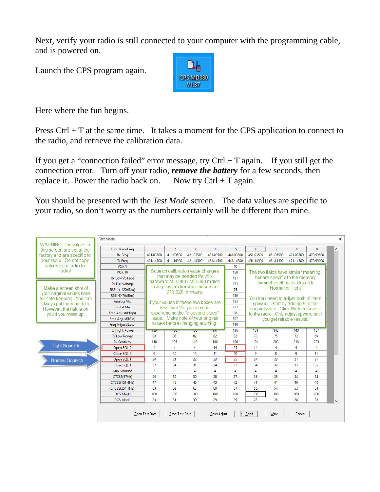Next, verify your radio is still connected to your computer with the programming cable, and is powered on.

Launch the CPS program again.



Here where the fun begins.

Press Ctrl  $+T$  at the same time. It takes a moment for the CPS application to connect to the radio, and retrieve the calibration data.

If you get a "connection failed" error message, try  $Ctrl + T$  again. If you still get the connection error. Turn off your radio, *remove the battery* for a few seconds, then replace it. Power the radio back on. Now try Ctrl  $+$  T again.

You should be presented with the *Test Mode* screen. The data values are specific to your radio, so don't worry as the numbers certainly will be different than mine.

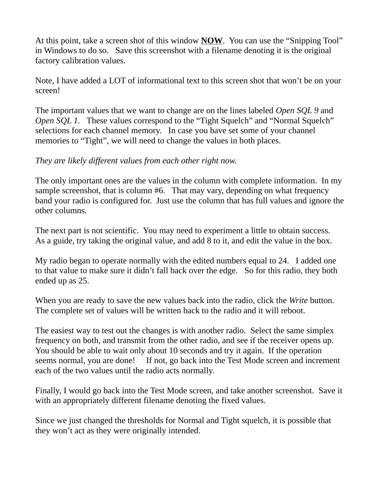At this point, take a screen shot of this window **NOW**. You can use the "Snipping Tool" in Windows to do so. Save this screenshot with a filename denoting it is the original factory calibration values.

Note, I have added a LOT of informational text to this screen shot that won't be on your screen!

The important values that we want to change are on the lines labeled *Open SQL 9* and *Open SQL 1.* These values correspond to the "Tight Squelch" and "Normal Squelch" selections for each channel memory. In case you have set some of your channel memories to "Tight", we will need to change the values in both places.

## *They are likely different values from each other right now.*

The only important ones are the values in the column with complete information. In my sample screenshot, that is column #6. That may vary, depending on what frequency band your radio is configured for. Just use the column that has full values and ignore the other columns.

The next part is not scientific. You may need to experiment a little to obtain success. As a guide, try taking the original value, and add 8 to it, and edit the value in the box.

My radio began to operate normally with the edited numbers equal to 24. I added one to that value to make sure it didn't fall back over the edge. So for this radio, they both ended up as 25.

When you are ready to save the new values back into the radio, click the *Write* button. The complete set of values will be written back to the radio and it will reboot.

The easiest way to test out the changes is with another radio. Select the same simplex frequency on both, and transmit from the other radio, and see if the receiver opens up. You should be able to wait only about 10 seconds and try it again. If the operation seems normal, you are done! If not, go back into the Test Mode screen and increment each of the two values until the radio acts normally.

Finally, I would go back into the Test Mode screen, and take another screenshot. Save it with an appropriately different filename denoting the fixed values.

Since we just changed the thresholds for Normal and Tight squelch, it is possible that they won't act as they were originally intended.